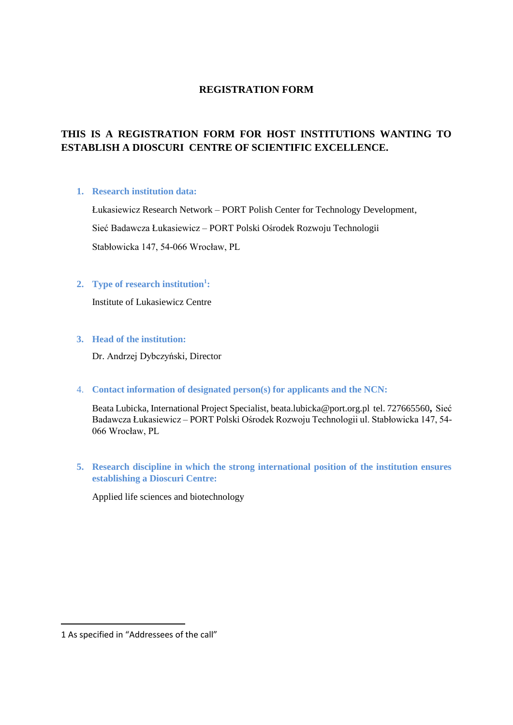# **REGISTRATION FORM**

# **THIS IS A REGISTRATION FORM FOR HOST INSTITUTIONS WANTING TO ESTABLISH A DIOSCURI CENTRE OF SCIENTIFIC EXCELLENCE.**

#### **1. Research institution data:**

Łukasiewicz Research Network – PORT Polish Center for Technology Development, Sieć Badawcza Łukasiewicz – PORT Polski Ośrodek Rozwoju Technologii Stabłowicka 147, 54-066 Wrocław, PL

# **2. Type of research institution<sup>1</sup> :**

Institute of Lukasiewicz Centre

# **3. Head of the institution:**

Dr. Andrzej Dybczyński, Director

4. **Contact information of designated person(s) for applicants and the NCN:** 

Beata Lubicka, International Project Specialist[, beata.lubicka@port.org.pl](mailto:beata.lubicka@port.org.pl) tel. 727665560**,** Sieć Badawcza Łukasiewicz – PORT Polski Ośrodek Rozwoju Technologii ul. Stabłowicka 147, 54- 066 Wrocław, PL

**5. Research discipline in which the strong international position of the institution ensures establishing a Dioscuri Centre:**

Applied life sciences and biotechnology

 $\overline{a}$ 

<sup>1</sup> As specified in "Addressees of the call"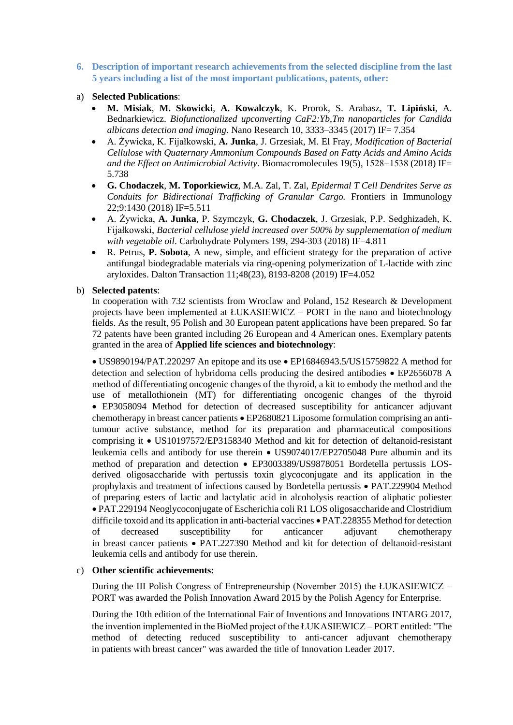**6. Description of important research achievements from the selected discipline from the last 5 years including a list of the most important publications, patents, other:**

## a) **Selected Publications**:

- **M. Misiak**, **M. Skowicki**, **A. Kowalczyk**, K. Prorok, S. Arabasz, **T. Lipiński**, A. Bednarkiewicz. *Biofunctionalized upconverting CaF2:Yb,Tm nanoparticles for Candida albicans detection and imaging*. Nano Research 10, 3333–3345 (2017) IF= 7.354
- A. Żywicka, K. Fijałkowski, **A. Junka**, J. Grzesiak, M. El Fray, *Modification of Bacterial Cellulose with Quaternary Ammonium Compounds Based on Fatty Acids and Amino Acids and the Effect on Antimicrobial Activity*. Biomacromolecules 19(5), 1528−1538 (2018) IF= 5.738
- **G. Chodaczek**, **M. Toporkiewicz**, M.A. Zal, T. Zal, *Epidermal T Cell Dendrites Serve as Conduits for Bidirectional Trafficking of Granular Cargo.* Frontiers in Immunology 22;9:1430 (2018) IF=5.511
- A. Żywicka, **A. Junka**, P. Szymczyk, **G. Chodaczek**, J. Grzesiak, P.P. Sedghizadeh, K. Fijałkowski, *Bacterial cellulose yield increased over 500% by supplementation of medium with vegetable oil*. Carbohydrate Polymers 199, 294-303 (2018) IF=4.811
- R. Petrus, **P. Sobota**, A new, simple, and efficient strategy for the preparation of active antifungal biodegradable materials via ring-opening polymerization of L-lactide with zinc aryloxides. Dalton Transaction 11;48(23), 8193-8208 (2019) IF=4.052

## b) **Selected patents**:

In cooperation with 732 scientists from Wroclaw and Poland, 152 Research & Development projects have been implemented at ŁUKASIEWICZ – PORT in the nano and biotechnology fields. As the result, 95 Polish and 30 European patent applications have been prepared. So far 72 patents have been granted including 26 European and 4 American ones. Exemplary patents granted in the area of **Applied life sciences and biotechnology**:

 $\bullet$  US9890194/PAT.220297 An epitope and its use  $\bullet$  E[P16846943.5/](tel:168469435)US15759822 A method for detection and selection of hybridoma cells producing the desired antibodies  $\bullet$  EP2656078 A method of differentiating oncogenic changes of the thyroid, a kit to embody the method and the use of metallothionein (MT) for differentiating oncogenic changes of the thyroid EP3058094 Method for detection of decreased susceptibility for anticancer adjuvant chemotherapy in breast cancer patients EP2680821 Liposome formulation comprising an antitumour active substance, method for its preparation and pharmaceutical compositions comprising it • US10197572/EP3158340 Method and kit for detection of deltanoid-resistant leukemia cells and antibody for use therein US9074017/EP2705048 Pure albumin and its method of preparation and detection EP3003389/US9878051 Bordetella pertussis LOSderived oligosaccharide with pertussis toxin glycoconjugate and its application in the prophylaxis and treatment of infections caused by Bordetella pertussis PAT.229904 Method of preparing esters of lactic and lactylatic acid in alcoholysis reaction of aliphatic poliester PAT.229194 Neoglycoconjugate of Escherichia coli R1 LOS oligosaccharide and Clostridium difficile toxoid and its application in anti-bacterial vaccines PAT.228355 Method for detection of decreased susceptibility for anticancer adjuvant chemotherapy in breast cancer patients PAT.227390 Method and kit for detection of deltanoid-resistant leukemia cells and antibody for use therein.

#### c) **Other scientific achievements:**

During the III Polish Congress of Entrepreneurship (November 2015) the ŁUKASIEWICZ – PORT was awarded the Polish Innovation Award 2015 by the Polish Agency for Enterprise.

During the 10th edition of the International Fair of Inventions and Innovations INTARG 2017, the invention implemented in the BioMed project of the ŁUKASIEWICZ – PORT entitled: "The method of detecting reduced susceptibility to anti-cancer adjuvant chemotherapy in patients with breast cancer" was awarded the title of Innovation Leader 2017.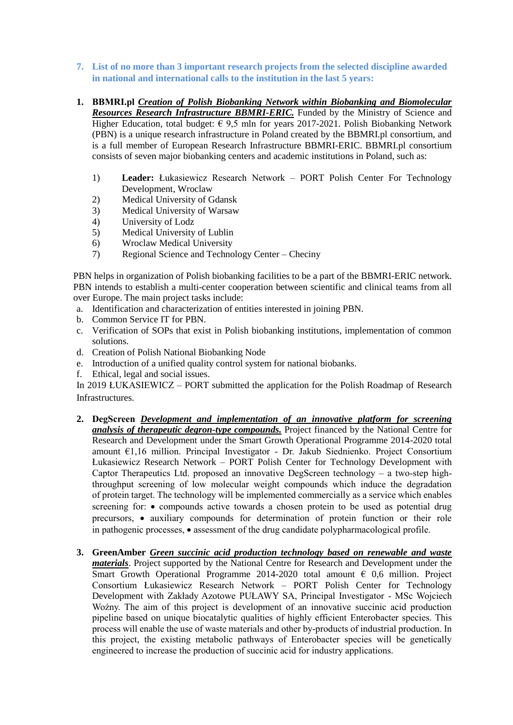- **7. List of no more than 3 important research projects from the selected discipline awarded in national and international calls to the institution in the last 5 years:**
- **1. BBMRI.pl** *Creation of Polish Biobanking Network within Biobanking and Biomolecular Resources Research Infrastructure BBMRI-ERIC.* Funded by the Ministry of Science and Higher Education, total budget:  $\epsilon$  9,5 mln for years 2017-2021. Polish Biobanking Network (PBN) is a unique research infrastructure in Poland created by the BBMRI.pl consortium, and is a full member of European Research Infrastructure BBMRI-ERIC. BBMRI.pl consortium consists of seven major biobanking centers and academic institutions in Poland, such as:
	- 1) **Leader:** Łukasiewicz Research Network PORT Polish Center For Technology Development, Wroclaw
	- 2) Medical University of Gdansk
	- 3) Medical University of Warsaw<br>4) University of Lodz
	- University of Lodz
	- 5) Medical University of Lublin
	- 6) Wroclaw Medical University
	- 7) Regional Science and Technology Center Checiny

PBN helps in organization of Polish biobanking facilities to be a part of the BBMRI-ERIC network. PBN intends to establish a multi-center cooperation between scientific and clinical teams from all over Europe. The main project tasks include:

- a. Identification and characterization of entities interested in joining PBN.
- b. Common Service IT for PBN.
- c. Verification of SOPs that exist in Polish biobanking institutions, implementation of common solutions.
- d. Creation of Polish National Biobanking Node
- e. Introduction of a unified quality control system for national biobanks.
- f. Ethical, legal and social issues.

In 2019 ŁUKASIEWICZ – PORT submitted the application for the Polish Roadmap of Research Infrastructures.

- **2. DegScreen** *Development and implementation of an innovative platform for screening analysis of therapeutic degron-type compounds.* Project financed by the National Centre for Research and Development under the Smart Growth Operational Programme 2014-2020 total amount €1,16 million. Principal Investigator - Dr. Jakub Siednienko. Project Consortium Łukasiewicz Research Network – PORT Polish Center for Technology Development with Captor Therapeutics Ltd. proposed an innovative DegScreen technology – a two-step highthroughput screening of low molecular weight compounds which induce the degradation of protein target. The technology will be implemented commercially as a service which enables screening for:  $\bullet$  compounds active towards a chosen protein to be used as potential drug precursors, • auxiliary compounds for determination of protein function or their role in pathogenic processes, • assessment of the drug candidate polypharmacological profile.
- **3. GreenAmber** *Green succinic acid production technology based on renewable and waste materials*. Project supported by the National Centre for Research and Development under the Smart Growth Operational Programme 2014-2020 total amount  $\epsilon$  0,6 million. Project Consortium Łukasiewicz Research Network – PORT Polish Center for Technology Development with Zakłady Azotowe PUŁAWY SA, Principal Investigator - MSc Wojciech Woźny. The aim of this project is development of an innovative succinic acid production pipeline based on unique biocatalytic qualities of highly efficient Enterobacter species. This process will enable the use of waste materials and other by-products of industrial production. In this project, the existing metabolic pathways of Enterobacter species will be genetically engineered to increase the production of succinic acid for industry applications.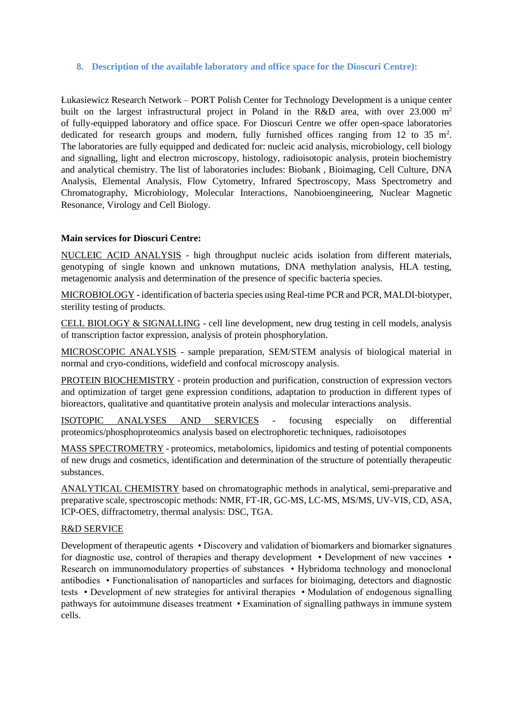### **8. Description of the available laboratory and office space for the Dioscuri Centre):**

Łukasiewicz Research Network – PORT Polish Center for Technology Development is a unique center built on the largest infrastructural project in Poland in the R&D area, with over 23.000 m<sup>2</sup> of fully-equipped laboratory and office space. For Dioscuri Centre we offer open-space laboratories dedicated for research groups and modern, fully furnished offices ranging from 12 to 35  $m^2$ . The laboratories are fully equipped and dedicated for: nucleic acid analysis, microbiology, cell biology and signalling, light and electron microscopy, histology, radioisotopic analysis, protein biochemistry and analytical chemistry. The list of laboratories includes: Biobank , Bioimaging, Cell Culture, DNA Analysis, Elemental Analysis, Flow Cytometry, Infrared Spectroscopy, Mass Spectrometry and Chromatography, Microbiology, Molecular Interactions, Nanobioengineering, Nuclear Magnetic Resonance, Virology and Cell Biology.

## **Main services for Dioscuri Centre:**

NUCLEIC ACID ANALYSIS - high throughput nucleic acids isolation from different materials, genotyping of single known and unknown mutations, DNA methylation analysis, HLA testing, metagenomic analysis and determination of the presence of specific bacteria species.

MICROBIOLOGY - identification of bacteria species using Real-time PCR and PCR, MALDI-biotyper, sterility testing of products.

CELL BIOLOGY & SIGNALLING - cell line development, new drug testing in cell models, analysis of transcription factor expression, analysis of protein phosphorylation.

MICROSCOPIC ANALYSIS - sample preparation, SEM/STEM analysis of biological material in normal and cryo-conditions, widefield and confocal microscopy analysis.

PROTEIN BIOCHEMISTRY - protein production and purification, construction of expression vectors and optimization of target gene expression conditions, adaptation to production in different types of bioreactors, qualitative and quantitative protein analysis and molecular interactions analysis.

ISOTOPIC ANALYSES AND SERVICES - focusing especially on differential proteomics/phosphoproteomics analysis based on electrophoretic techniques, radioisotopes

MASS SPECTROMETRY - proteomics, metabolomics, lipidomics and testing of potential components of new drugs and cosmetics, identification and determination of the structure of potentially therapeutic substances.

ANALYTICAL CHEMISTRY based on chromatographic methods in analytical, semi-preparative and preparative scale, spectroscopic methods: NMR, FT-IR, GC-MS, LC-MS, MS/MS, UV-VIS, CD, ASA, ICP-OES, diffractometry, thermal analysis: DSC, TGA.

#### R&D SERVICE

Development of therapeutic agents • Discovery and validation of biomarkers and biomarker signatures for diagnostic use, control of therapies and therapy development • Development of new vaccines • Research on immunomodulatory properties of substances • Hybridoma technology and monoclonal antibodies • Functionalisation of nanoparticles and surfaces for bioimaging, detectors and diagnostic tests • Development of new strategies for antiviral therapies • Modulation of endogenous signalling pathways for autoimmune diseases treatment • Examination of signalling pathways in immune system cells.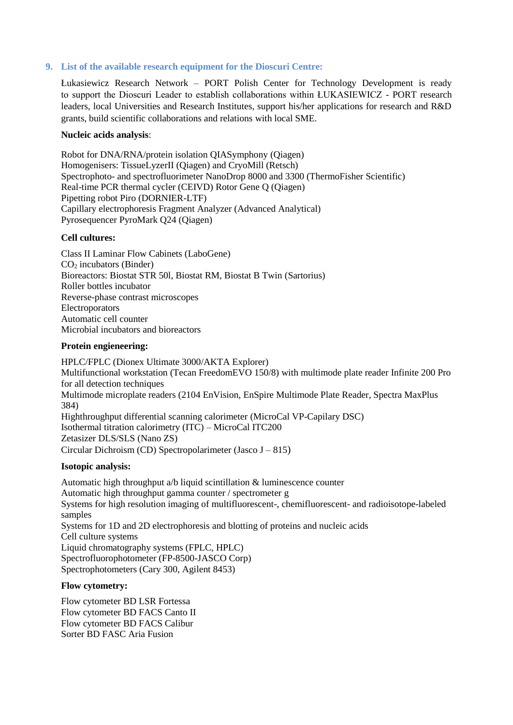### **9. List of the available research equipment for the Dioscuri Centre:**

Łukasiewicz Research Network – PORT Polish Center for Technology Development is ready to support the Dioscuri Leader to establish collaborations within ŁUKASIEWICZ - PORT research leaders, local Universities and Research Institutes, support his/her applications for research and R&D grants, build scientific collaborations and relations with local SME.

#### **Nucleic acids analysis**:

Robot for DNA/RNA/protein isolation QIASymphony (Qiagen) Homogenisers: TissueLyzerII (Qiagen) and CryoMill (Retsch) Spectrophoto- and spectrofluorimeter NanoDrop 8000 and 3300 (ThermoFisher Scientific) Real-time PCR thermal cycler (CEIVD) Rotor Gene Q (Qiagen) Pipetting robot Piro (DORNIER-LTF) Capillary electrophoresis Fragment Analyzer (Advanced Analytical) Pyrosequencer PyroMark Q24 (Qiagen)

#### **Cell cultures:**

Class II Laminar Flow Cabinets (LaboGene) CO<sup>2</sup> incubators (Binder) Bioreactors: Biostat STR 50l, Biostat RM, Biostat B Twin (Sartorius) Roller bottles incubator Reverse-phase contrast microscopes Electroporators Automatic cell counter Microbial incubators and bioreactors

#### **Protein engieneering:**

HPLC/FPLC (Dionex Ultimate 3000/AKTA Explorer) Multifunctional workstation (Tecan FreedomEVO 150/8) with multimode plate reader Infinite 200 Pro for all detection techniques Multimode microplate readers (2104 EnVision, EnSpire Multimode Plate Reader, Spectra MaxPlus 384) Highthroughput differential scanning calorimeter (MicroCal VP-Capilary DSC) Isothermal titration calorimetry (ITC) – MicroCal ITC200 Zetasizer DLS/SLS (Nano ZS) Circular Dichroism (CD) Spectropolarimeter (Jasco J – 815)

#### **Isotopic analysis:**

Automatic high throughput a/b liquid scintillation & luminescence counter Automatic high throughput gamma counter / spectrometer g Systems for high resolution imaging of multifluorescent-, chemifluorescent- and radioisotope-labeled samples Systems for 1D and 2D electrophoresis and blotting of proteins and nucleic acids Cell culture systems Liquid chromatography systems (FPLC, HPLC) Spectrofluorophotometer (FP-8500-JASCO Corp) Spectrophotometers (Cary 300, Agilent 8453)

#### **Flow cytometry:**

Flow cytometer BD LSR Fortessa Flow cytometer BD FACS Canto II Flow cytometer BD FACS Calibur Sorter BD FASC Aria Fusion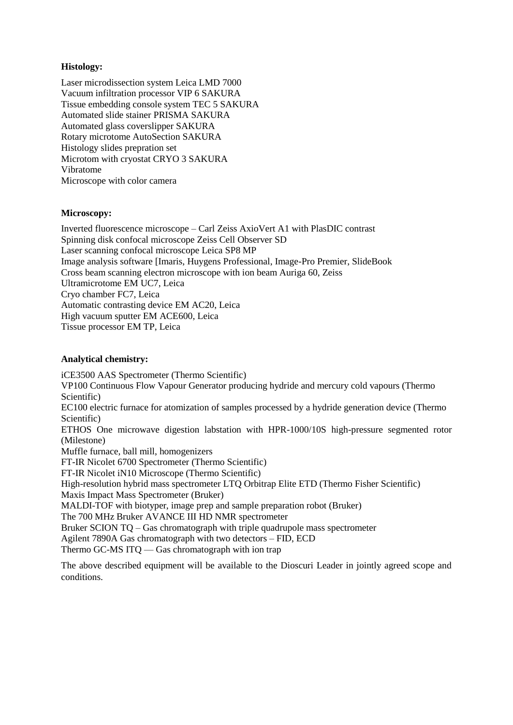# **Histology:**

Laser microdissection system Leica LMD 7000 Vacuum infiltration processor VIP 6 SAKURA Tissue embedding console system TEC 5 SAKURA Automated slide stainer PRISMA SAKURA Automated glass coverslipper SAKURA Rotary microtome AutoSection SAKURA Histology slides prepration set Microtom with cryostat CRYO 3 SAKURA Vibratome Microscope with color camera

## **Microscopy:**

Inverted fluorescence microscope – Carl Zeiss AxioVert A1 with PlasDIC contrast Spinning disk confocal microscope Zeiss Cell Observer SD Laser scanning confocal microscope Leica SP8 MP Image analysis software [Imaris, Huygens Professional, Image-Pro Premier, SlideBook Cross beam scanning electron microscope with ion beam Auriga 60, Zeiss Ultramicrotome EM UC7, Leica Cryo chamber FC7, Leica Automatic contrasting device EM AC20, Leica High vacuum sputter EM ACE600, Leica Tissue processor EM TP, Leica

# **Analytical chemistry:**

iCE3500 AAS Spectrometer (Thermo Scientific) VP100 Continuous Flow Vapour Generator producing hydride and mercury cold vapours (Thermo Scientific) EC100 electric furnace for atomization of samples processed by a hydride generation device (Thermo Scientific) ETHOS One microwave digestion labstation with HPR-1000/10S high-pressure segmented rotor (Milestone) Muffle furnace, ball mill, homogenizers FT-IR Nicolet 6700 Spectrometer (Thermo Scientific) FT-IR Nicolet iN10 Microscope (Thermo Scientific) High-resolution hybrid mass spectrometer LTQ Orbitrap Elite ETD (Thermo Fisher Scientific) Maxis Impact Mass Spectrometer (Bruker) MALDI-TOF with biotyper, image prep and sample preparation robot (Bruker) The 700 MHz Bruker AVANCE III HD NMR spectrometer Bruker SCION TQ – Gas chromatograph with triple quadrupole mass spectrometer

Agilent 7890A Gas chromatograph with two detectors – FID, ECD Thermo GC-MS ITQ — Gas chromatograph with ion trap

The above described equipment will be available to the Dioscuri Leader in jointly agreed scope and conditions.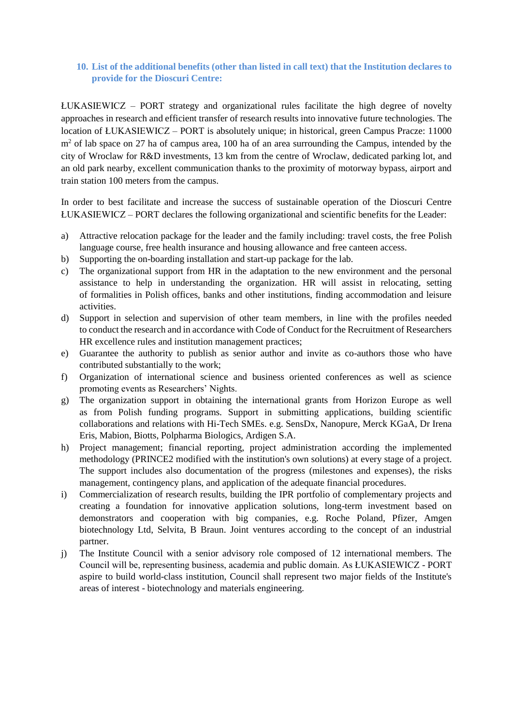# **10. List of the additional benefits (other than listed in call text) that the Institution declares to provide for the Dioscuri Centre:**

ŁUKASIEWICZ – PORT strategy and organizational rules facilitate the high degree of novelty approaches in research and efficient transfer of research results into innovative future technologies. The location of ŁUKASIEWICZ – PORT is absolutely unique; in historical, green Campus Pracze: 11000  $m<sup>2</sup>$  of lab space on 27 ha of campus area, 100 ha of an area surrounding the Campus, intended by the city of Wroclaw for R&D investments, 13 km from the centre of Wroclaw, dedicated parking lot, and an old park nearby, excellent communication thanks to the proximity of motorway bypass, airport and train station 100 meters from the campus.

In order to best facilitate and increase the success of sustainable operation of the Dioscuri Centre ŁUKASIEWICZ – PORT declares the following organizational and scientific benefits for the Leader:

- a) Attractive relocation package for the leader and the family including: travel costs, the free Polish language course, free health insurance and housing allowance and free canteen access.
- b) Supporting the on-boarding installation and start-up package for the lab.
- c) The organizational support from HR in the adaptation to the new environment and the personal assistance to help in understanding the organization. HR will assist in relocating, setting of formalities in Polish offices, banks and other institutions, finding accommodation and leisure activities.
- d) Support in selection and supervision of other team members, in line with the profiles needed to conduct the research and in accordance with Code of Conduct for the Recruitment of Researchers HR excellence rules and institution management practices;
- e) Guarantee the authority to publish as senior author and invite as co-authors those who have contributed substantially to the work;
- f) Organization of international science and business oriented conferences as well as science promoting events as Researchers' Nights.
- g) The organization support in obtaining the international grants from Horizon Europe as well as from Polish funding programs. Support in submitting applications, building scientific collaborations and relations with Hi-Tech SMEs. e.g. SensDx, Nanopure, Merck KGaA, Dr Irena Eris, Mabion, Biotts, Polpharma Biologics, Ardigen S.A.
- h) Project management; financial reporting, project administration according the implemented methodology (PRINCE2 modified with the institution's own solutions) at every stage of a project. The support includes also documentation of the progress (milestones and expenses), the risks management, contingency plans, and application of the adequate financial procedures.
- i) Commercialization of research results, building the IPR portfolio of complementary projects and creating a foundation for innovative application solutions, long-term investment based on demonstrators and cooperation with big companies, e.g. Roche Poland, Pfizer, Amgen biotechnology Ltd, Selvita, B Braun. Joint ventures according to the concept of an industrial partner.
- j) The Institute Council with a senior advisory role composed of 12 international members. The Council will be, representing business, academia and public domain. As ŁUKASIEWICZ - PORT aspire to build world-class institution, Council shall represent two major fields of the Institute's areas of interest - biotechnology and materials engineering.